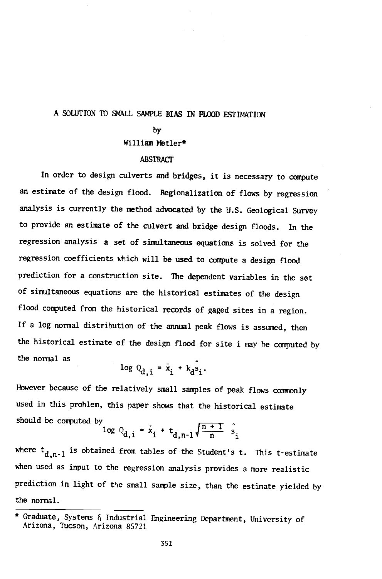## A SOLUTION TO SMALL SAMPLE BIAS IN FLOOD ESTIMATION

#### by

## William Metier\*

### ABSTRACT

In order to design culverts and bridges, it is necessary to compute an estimate of the design flood. Regionalization of flows by regression analysis is currently the method advocated by the U.S. Geological Survey to provide an estimate of the culvert and bridge design floods. In the regression analysis a set of simultaneous equations is solved for the regression coefficients which will be used to compute a design flood prediction for a construction site. The dependent variables in the set of simultaneous equations are the historical estimates of the design flood computed from the historical records of gaged sites in a region. If a log normal distribution of the annual peak flows is assumed, then the historical estimate of the design flood for site i may be computed by the normal as

$$
\log Q_{\rm d,i} = \bar{x}_i + k_{\rm d} s_i.
$$

However because of the relatively small samples of peak flows commonly used in this problem, this paper shows that the historical estimate should be computed by

$$
\log Q_{d,i} = \bar{x}_i + t_{d,n-1} \sqrt{\frac{n+1}{n}} \hat{s}_i
$$

where  ${\rm t_{d,n-1}}$  is obtained from tables of the Student's t. This t-estimate when used as input to the regression analysis provides a more realistic prediction in light of the small sample size, than the estimate yielded by the normal.

<sup>\*</sup> Graduate, Systems f, Industrial Engineering Department, University of Arizona, Tucson, Arizona 85721.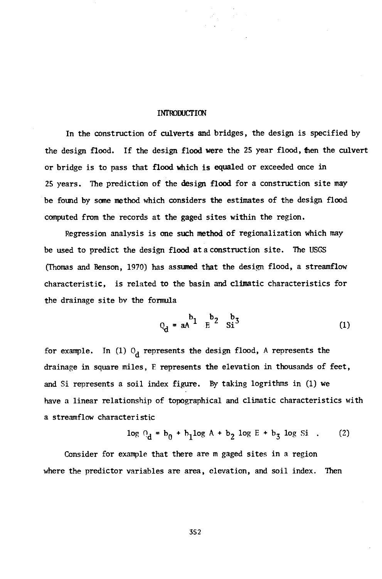#### **INTRODUCTION**

In the construction of culverts and bridges, the design is specified by the design flood. If the design flood were the 25 year flood, then the culvert or bridge is to pass that flood which is equaled or exceeded once in 25 years. The prediction of the design flood for a construction site may be found by some method which considers the estimates of the design flood computed from the records at the gaged sites within the region.

Regression analysis is one such method of regionalization which may be used to predict the design flood at a construction site. The USGS (Thomas and Benson, 1970) has assumed that the design flood, a streamflow characteristic, is related to the basin and climatic characteristics for the drainage site by the formula

$$
Q_d = aA^2 \frac{b_1}{E^2} \frac{b_3}{S_1^3}
$$
 (1)

for example. In (1)  $O_d$  represents the design flood, A represents the drainage in square miles, F represents the elevation in thousands of feet, and Si represents a soil index figure. By taking logrithms in (1) we have a linear relationship of topographical and climatic characteristics with a streamflow characteristic

$$
\log Q_d = b_0 + b_1 \log A + b_2 \log E + b_3 \log Si .
$$
 (2)

Consider for example that there are m gaged sites in a region where the predictor variables are area, elevation, and soil index. Then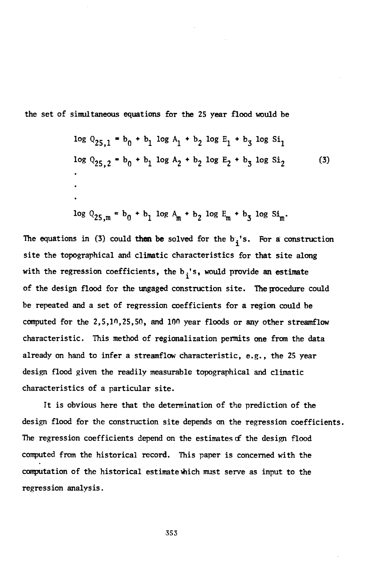the set of simultaneous equations for the 25 year flood would be

$$
\log Q_{25,1} = b_0 + b_1 \log A_1 + b_2 \log E_1 + b_3 \log S_1
$$
  
\n
$$
\log Q_{25,2} = b_0 + b_1 \log A_2 + b_2 \log E_2 + b_3 \log S_1
$$
  
\n
$$
\vdots
$$
  
\n
$$
\log Q_{25,m} = b_0 + b_1 \log A_m + b_2 \log E_m + b_3 \log S_1.
$$
 (3)

The equations in (3) could then be solved for the  $b_i$ 's. For a construction site the topographical and climatic characteristics for that site along with the regression coefficients, the  $b_i$ 's, would provide an estimate of the design flood for the ungaged construction site. The procedure could be repeated and a set of regression coefficients for a region could be computed for the 2,5,10,25,50, and 100 year floods or any other streamflow characteristic. This method of regionalization permits one from the data already on hand to infer a streamflow characteristic, e.g., the 25 year design flood given the readily measurable topographical and climatic characteristics of a particular site.

It is obvious here that the determination of the prediction of the design flood for the construction site depends on the regression coefficients. The regression coefficients depend on the estimates of the design flood computed from the historical record. This paper is concerned with the computation of the historical estimate which must serve as input to the regression analysis.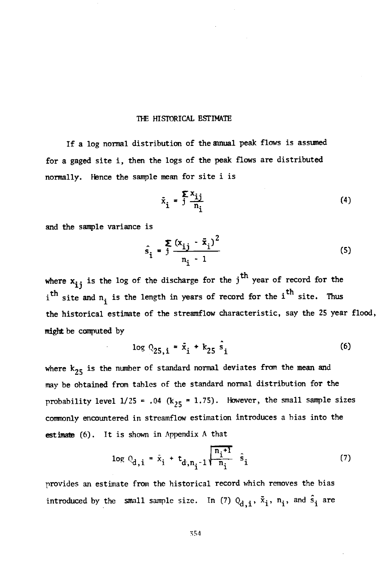#### THE HISTORICAL ESTIMATE

If a log normal distribution of the amual peak flows is assumed for a gaged site i, then the logs of the peak flows are distributed normally. Hence the sample mean for site i is

$$
\bar{x}_i = \frac{\sum x_i}{n_i} \tag{4}
$$

and the sample variance is

$$
\hat{s}_i = \frac{\sum_{i=1}^{i} (x_{ij} - \bar{x}_i)^2}{n_i - 1}
$$
\n(5)

where  $x_{ij}$  is the log of the discharge for the j<sup>th</sup> year of record for the i<sup>th</sup> site and  $n_i$  is the length in years of record for the i<sup>th</sup> site. Thus the historical estimate of the streamflow characteristic, say the 25 year flood, might be computed by

$$
\log Q_{25,i} = \bar{x}_i + k_{25} \hat{s}_i \tag{6}
$$

where  $k_{25}$  is the number of standard normal deviates from the mean and may be obtained from tables of the standard normal distribution for the probability level  $1/25 = .04$  (k<sub>25</sub> = 1.75). However, the small sample sizes commonly encountered in streamflow estimation introduces a bias into the estimate (6). It is shown in Appendix A that

$$
\log Q_{d,i} = \hat{x}_i + t_{d,n_i-1} \sqrt{\frac{n_i+1}{n_i}} \hat{s}_i
$$
 (7)

provides an estimate from the historical record which removes the bias introduced by the small sample size. In (7)  $Q_{d,i}$ ,  $\tilde{x}_i$ ,  $n_i$ , and  $\hat{s}_i$  are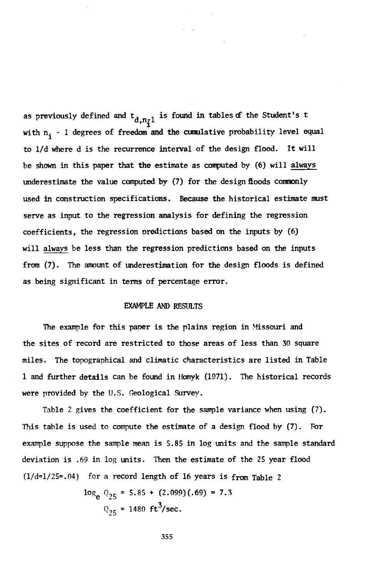as previously defined and  $t_{d,n_{\bar{i}}}$  is found in tables of the Student's t with  $n_i$  - 1 degrees of freedom and the cumulative probability level equal to l/d where d is the recurrence interval of the design flood. It will be shown in this paper that the estimate as computed by (6) will always underestimate the value computed by (7) for the design floods commonly used in construction specifications. Because the historical estimate must serve as input to the regression analysis for defining the regression coefficients, the regression predictions based on the inputs by (6) will always be less than the regression predictions based on the inputs from (7). The amount of underestimation for the design floods is defined as being significant in terms of percentage error.

### EXAMPLE AND RESULTS

The example for this paper is the plains region in Missouri and the sites of record are restricted to those areas of less than 30 square miles. The topographical and climatic characteristics are listed in Table 1 and further details can be found in Homyk (1971). The historical records were provided by the U.S. Geological Survey.

Table 2 gives the coefficient for the sample variance when using (7). This table is used to compute the estimate of a design flood by (7). For example suppose the sample mean is 5.85 in log units and the sample standard deviation is .69 in log units. Then the estimate of the 25 year flood  $(1/d=1/25=.04)$  for a record length of 16 years is from Table 2

> $log_a Q_{25} = 5.85 + (2.099)(.69) = 7.3$  $Q_{25}$  = 1480 ft<sup>3</sup>/sec.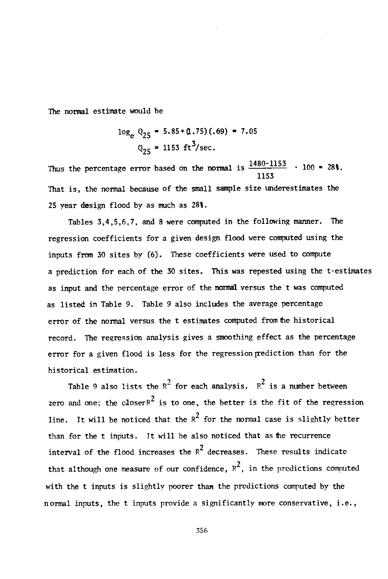The normal estimate would be

$$
\log_{e} Q_{25} = 5.85 + (1.75)(.69) = 7.05
$$
  

$$
Q_{25} = 1153 \text{ ft}^{3}/\text{sec.}
$$

Thus the percentage error based on the normal is  $\frac{1480 - 1155}{100}$  · 100 = 28%. 1153 That is, the normal because of the small sample size underestimates the 25 year design flood by as much as 28%.

Tables 3,4,5,6,7, and 8 were computed in the following manner. The regression coefficients for a given design flood were computed using the inputs from 30 sites by (6). These coefficients were used to compute a prediction for each of the 30 sites. This was repested using the t-estimates as input and the percentage error of the normal versus the t was computed as listed in Table 9. Table 9 also includes the average percentage error of the normal versus the t estimates computed from the historical record. The regression analysis gives a smoothing effect as the percentage error for a given flood is less for the regression prediction than for the historical estimation.

Table 9 also lists the  $R^2$  for each analysis.  $R^2$  is a number between zero and one; the closer  $R^2$  is to one, the better is the fit of the regression line. It will be noticed that the  $R^2$  for the normal case is slightly better than for the t inputs. It will be also noticed that as the recurrence interval of the flood increases the  $R^2$  decreases. These results indicate that although one measure of our confidence,  $R^2$ , in the predictions computed with the t inputs is slightly poorer than the predictions computed by the normal inputs, the t inputs provide a significantly more conservative, i.e.,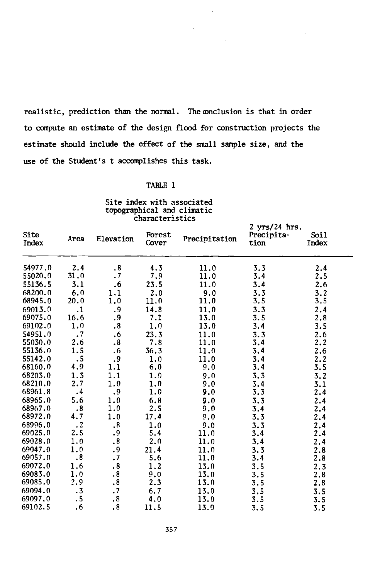realistic, prediction than the normal. The conclusion is that in order to compute an estimate of the design flood for construction projects the estimate should include the effect of the small sample size, and the use of the Student's t accomplishes this task.

 $\mathcal{L}^{(1)}$ 

 $\sim$ 

#### TABLE 1

#### Site index with associated topographical and climatic characteristics

| Site<br>Index | Area                 | Elevation            | Forest<br>Cover | Precipitation | 2 yrs/24 hrs.<br>Precipita-<br>tion | <b>Soil</b><br>Index |
|---------------|----------------------|----------------------|-----------------|---------------|-------------------------------------|----------------------|
| 54977.0       | 2.4                  | $\cdot$ 8            | 4.3             | 11.0          | 3.3                                 | 2.4                  |
| 55020.0       | 31.0                 | $\cdot$ 7            | 7.9             | 11.0          | 3.4                                 | 2.5                  |
| 55136.5       | 3.1                  | .6                   | 23.5            | 11.0          | 3.4                                 | 2.6                  |
| 68200.0       | 6.0                  | 1.1                  | 2.0             | 9.0           | 3.3                                 | 3.2                  |
| 68945.0       | 20.0                 | 1.0                  | 11.0            | 11.0          | 3.5                                 | 3.5                  |
| 69013.0       | $\cdot$ 1            | و.                   | 14.8            | 11.0          | 3.3                                 | 2.4                  |
| 69075.0       | 16.6                 | . 9                  | 7.1             | 13.0          | 3.5                                 | 2.8                  |
| 69102.0       | 1.0                  | $\boldsymbol{.8}$    | 1,0             | 13.0          | 3.4                                 | 3.5                  |
| 54951.0       | $\cdot$ 7            | $\cdot$ 6            | 23.3            | 11.0          | 3.3                                 | 2.6                  |
| 55030.0       | 2.6                  | $\cdot$ 8            | 7.8             | 11.0          | 3.4                                 | 2.2                  |
| 55136.0       | 1.5                  | .6                   | 36.3            | 11.0          | 3.4                                 | 2.6                  |
| 55142.0       | $\cdot$ 5            | .9                   | 1.0             | 11.0          | 3.4                                 | 2.2                  |
| 68160.0       | 4.9                  | 1.1                  | 6.0             | 9,0           | 3,4                                 | 3.5                  |
| 68203.0       | 1.3                  | 1.1                  | 1.0             | 9.0           | 3.3                                 | 3.2                  |
| 68210.0       | 2.7                  | 1.0                  | 1.0             | 9.0           | 3.4                                 | 3.1                  |
| 68961.8       | .4                   | .9                   | 1.0             | 9.0           | 3.3                                 | 2.4                  |
| 68965.0       | 5.6                  | 1.0                  | 6.8             | 9.0           | 3.3                                 | 2.4                  |
| 68967.0       | $\cdot$ 8            | 1.0                  | 2.5             | 9.0           | 3,4                                 | 2.4                  |
| 68972.0       | 4.7                  | 1.0                  | 17.4            | 9,0           | 3,3                                 | 2,4                  |
| 68996.0       | $\cdot$ 2            | .8                   | 1.0             | 9.0           | 3.3                                 | 2.4                  |
| 69025.0       | 2.5                  | .9                   | 5.4             | 11.0          | 3.4                                 | 2.4                  |
| 69028.0       | 1.0                  | $\boldsymbol{.8}$    | 2.0             | 11.0          | 3.4                                 | 2.4                  |
| 69047.0       | 1.0                  | .9                   | 21.4            | 11.0          | 3.3                                 | 2.8                  |
| 69057.0       | $\cdot$ 8            | $\cdot$ 7            | 5.6             | 11.0          | 3.4                                 | 2.8                  |
| 69072.0       | 1.6                  | $\cdot$ 8            | 1.2             | 13.0          | 3.5                                 | 2.3                  |
| 69083.0       | 1.0                  | $\cdot$ 8            | 9,0             | 13.0          | 3.5                                 | 2.8                  |
| 69085.0       | 2.9                  | $\boldsymbol{.8}$    | 2.3             | 13.0          | 3.5                                 | 2.8                  |
| 69094.0       | $\cdot$ <sub>3</sub> | $\cdot$ <sup>7</sup> | 6.7             | 13.0          | 3.5                                 | 3.5                  |
| 69097.0       | ٠5                   | $\cdot$ 8            | 4.0             | 13.0          | 3.5                                 | 3.5                  |
| 69102.5       | .6                   | $\cdot$ 8            | 11.5            | 13.0          | 3.5                                 | 3.5                  |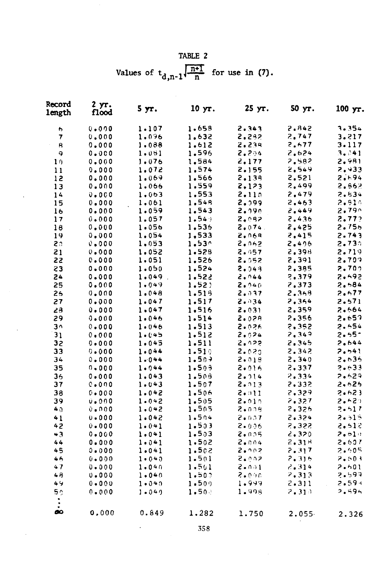TABLE 2 Values of  $t_{d,n-1}$   $\sqrt{\frac{n+1}{n}}$  for use in (7).

| Record<br>length | 2 yr.<br>flood | 5yr.        | $10 \text{ yr}$ . | 25 yr.        | $50 \text{ yr}$ . | 100 yr.           |
|------------------|----------------|-------------|-------------------|---------------|-------------------|-------------------|
| 6                | 0.000          | 1.107       | 1,658             | 2.343         | 2.842             | 3.354             |
| 7                | 0.000          | 1.096       | 1,632             | 2.282         | 2.747             | 3.217             |
| R                | 0.000          | 1.088       | 1,612             | 2.239         | 2.677             | 3.117             |
| ۹                | 0.000          | 1.091       | 1.596             | 2.204         | 2.624             | 3.341             |
| 10               | 0.000          | 1.076       | 1,584             | 2.177         | 2.582             | 2.981             |
| 11               | 0.000          | 1.072       | 1.574             | 2.155         | 2.549             | 2.933             |
| 12               | 0.000          | 1.069       | 1,566             | 2.138         | 2.521             | 2.194             |
| 13               | 0.000          | 1.066       | 1.559             | 2,123         | 2,499             | 2,562             |
| 14               | 0.000          | 1.063       | 1.553             | 2.110         | 2.479             | 2.834             |
| 15               | 0.000          | 1.061       | 1.548             | 2.099         | 2.463             | 2.910             |
| 16               | 0.000          | 1.059       | 1.543             | 2.090         | 2.449             | 2.79 <sup>°</sup> |
| 17               | 0.000          | 1.057       | 1.54              | 2,092         | 2.436             | 2,772             |
| 18               | 0.000          | 1.056       | 1.536             | 2.074.        | 2.425             | 2.756             |
| 19               | 0.000          | 1.054       | 1,533             | 2.068         | 2.415             | 2.743             |
| 20               | 0.000          | 1,053       | 1.53 <sup>°</sup> | 2.062         | 2.496             | 2.730             |
| 21               | 0.000          | 1.052       | 1.528             | 2.057         | 2.398             | 2.719             |
| 22               | 0.000          | 1.051       | 1,526             | 2.052         | 2.391             | 2.709             |
| 23               | 0.000          | 1.050       | 1,524             | 2.043         | 2.395             | 2.700             |
| 24               | $0 - 000$      | $1.049$ .   | 1.522             | 2.044         | 2.379             | 2.492             |
| 25               | 0.000          | 1.049       | 1.52)             | 2.940         | 2,373             | 2.584             |
| 26               | 0.000          | 1.048       | 1.518             | 2.937         | 2.369             | 2.677             |
| 27               | $0 - 000$      | 1.047       | 1.517             | 2.134         | 2.354             | 2.571             |
| 28               | 0.000          | $1 - 047$   | 1,516             | 2.031         | 2,359             | 2.664             |
| 29               | 0.000          | 1.046       | 1.514             | 2.029         | 2.356             | 2.657             |
| 3٨               | 0.000          | 1.046       | 1.513             | 2.026         | 2.352             | 2.654             |
| 31               | 0.000          | 1.045       | 1.512             | 2.024         | 2,349             | 2.55 <sup>2</sup> |
| 32               | $0 - 000$      | 1.045       | 1.511             | 2.022         | 2,345             | 2.644             |
| 33               | $0 - 000$      | 1.044       | 1.510             | 2.020         | 2.342             | 7.541             |
| 34               | 0.000          | $1 - 0 + 4$ | 1.507             | 2.018         | 2, 340            | 2.636             |
| 35               | $0 - 000$      | $1 - 044$   | 1.503             | 2.016         | 2,337             | 2.633             |
| 36               | $0 - 000$      | 1.043       | 1.508             | 2.914         | 2.334             | 2.629             |
| 37               | 0.000          | $1 - 043$   | 1.507             | 2.013         | 2.332             | 2,626             |
| 38               | $0 - 000$      | 1.042       | 1.506             | 2.011         | 2.329             | 2.623             |
| 39               | 0.000          | $1 - 0 + 2$ | 1.505             | 2.010         | 2.327             | 2.621             |
| 40               | 0.000          | 1.042       | 1.505             | 2.009         | 2.326             | 2.517             |
| 41               | $0 - 000$      | 1.042       | 1.504             | 2.037         | 2.324             | $2 - 515$         |
| 42               | 0.000          | 1.041       | 1.503             | $2 - 0.06$    | 2.322             | 2.512             |
| 43               | 0.000          | 1.041       | 1.503             | 2.025         | 2.320             | 2.610             |
| 44               | 0.000          | 1.041       | 1.502             | 2.004         | 2.31 <sup>M</sup> | 2.607             |
| 45               | 0.000          | 1.041       | 1.502             | 2.002         | 2.317             | 2.605             |
| 46               | $0 - 000$      | $1 - 0 + 0$ | 1.501             | 2.002         | 2.316             | 2.503             |
| 47               | $0 - 000$      | $1 - 040$   | 1.501             | $2 \cdot 001$ | 2, 314            | 7.601             |
| 48               | $0 - 000$      | $1 - 0 + 0$ | 1.507             | 2.000         | 2.313             | 2.597             |
| 49               | $0 - 000$      | $1 - 040$   | 1.509             | 1.999         | $2 - 311$         | $2 - 59 +$        |
| 50               | 0.000          | $1 - 049$   | 1.50.             | 1.998         | $2 - 310$         | 2.594             |
| œ                | 0.000          | 0.849       | 1.282             | 1.750         | $2.055 -$         | 2.326             |

 $\bar{\phantom{a}}$ 

÷,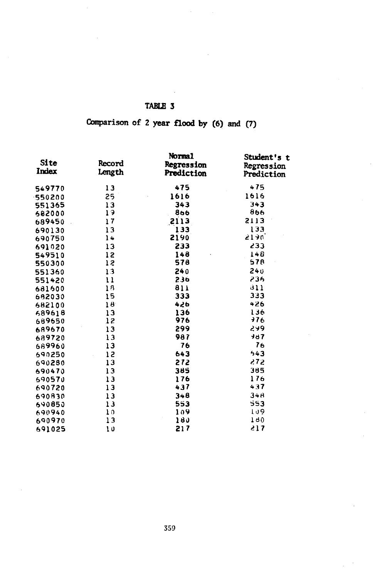# Comparison of 2 year flood by (6) and (7)

| Site<br>Index | Record<br>Length | Normal<br><b>Regression</b><br>Prediction | Student's t<br>Regression<br>Prediction |
|---------------|------------------|-------------------------------------------|-----------------------------------------|
| 549770        | 13               | 475                                       | 475                                     |
| 550200        | 25               | 1616                                      | 1616                                    |
| 551365        | 13               | 343                                       | 343                                     |
| 682000        | 19               | 866                                       | 866                                     |
| 689450        | 17               | 2113                                      | 2113                                    |
| 690130        | 13               | 133                                       | 133                                     |
| 690750        | 14               | 2190                                      | 5190.                                   |
| 691020        | 13               | 233                                       | 233                                     |
| 549510        | 12               | 148                                       | 148                                     |
| 550300        | 12               | 578                                       | 578                                     |
| 551360        | 13               | 240                                       | 240                                     |
| 551420        | 11               | 236                                       | 236                                     |
| 681600        | 18               | 811                                       | 311                                     |
| 682030        | 15               | 333                                       | 333                                     |
| 682100        | 18               | 426                                       | 426                                     |
| 689618        | 13               | 136                                       | 136                                     |
| 689650        | 12               | 976                                       | 776                                     |
| 689670        | 13               | 299                                       | 299                                     |
| 689720        | 13               | 987                                       | 987                                     |
| 689960        | 13               | 76                                        | 76                                      |
| 690250        | 12               | 643                                       | 543                                     |
| 690280        | 13               | 272                                       | 272                                     |
| 690470        | 13               | 385                                       | 385                                     |
| 590570        | 13               | 176                                       | 176                                     |
| 690720        | 13               | 437                                       | 437                                     |
| 690830        | 13               | 348                                       | 348                                     |
| 690850        | 13               | 553                                       | 553                                     |
| 690940        | 10               | 109                                       | 109                                     |
| 690970        | 13               | 180                                       | 190                                     |
| 691025        | 10               | 217                                       | 217                                     |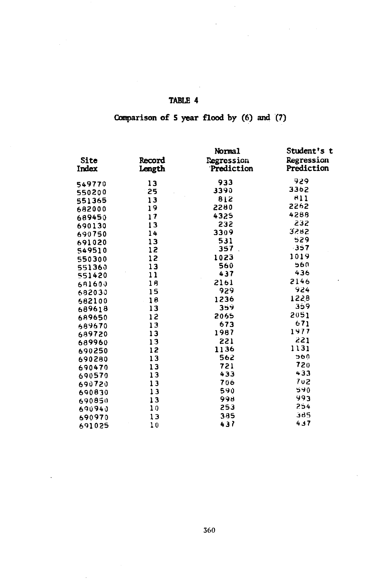## Comparison of S year flood by (6) and (7)

|                         | Normal                                                                     | Student's t              |                                                                                                                  |
|-------------------------|----------------------------------------------------------------------------|--------------------------|------------------------------------------------------------------------------------------------------------------|
| <b>Record</b><br>Length | <b>Regression</b><br>Prediction                                            | Regression<br>Prediction |                                                                                                                  |
|                         | 933                                                                        | 929                      |                                                                                                                  |
|                         | 3390                                                                       | 3362                     |                                                                                                                  |
|                         | 812                                                                        | 811                      |                                                                                                                  |
|                         | 2280                                                                       | 2262                     |                                                                                                                  |
|                         | 4325                                                                       | 4288                     |                                                                                                                  |
|                         | 232                                                                        | 232                      |                                                                                                                  |
|                         | 3309                                                                       | 3282                     |                                                                                                                  |
|                         | 531                                                                        | 529                      |                                                                                                                  |
|                         | 357                                                                        | -357                     |                                                                                                                  |
|                         | 1023                                                                       | 1019                     |                                                                                                                  |
|                         | 560                                                                        | 560                      |                                                                                                                  |
| 11                      | 437                                                                        |                          |                                                                                                                  |
| 18                      | 2161                                                                       | 2146                     |                                                                                                                  |
|                         | 929                                                                        | 924                      |                                                                                                                  |
|                         | 1236                                                                       |                          |                                                                                                                  |
| 13                      | 359                                                                        | 359                      |                                                                                                                  |
| 12                      | 2065                                                                       |                          |                                                                                                                  |
| 13                      | 673                                                                        |                          |                                                                                                                  |
| 13                      | 1987                                                                       |                          |                                                                                                                  |
| 13                      | 221                                                                        |                          |                                                                                                                  |
| 12                      | 1136                                                                       |                          |                                                                                                                  |
| 13                      | 562                                                                        |                          |                                                                                                                  |
| 13                      | 721                                                                        |                          |                                                                                                                  |
| 13                      |                                                                            |                          |                                                                                                                  |
| 13                      | 706                                                                        |                          |                                                                                                                  |
| 13                      | 590                                                                        |                          |                                                                                                                  |
| 13                      | 998                                                                        |                          |                                                                                                                  |
| 10                      |                                                                            |                          |                                                                                                                  |
| 13                      | 385                                                                        |                          |                                                                                                                  |
| 10                      | 437                                                                        |                          |                                                                                                                  |
|                         | 13<br>25<br>13<br>19<br>17<br>13<br>14<br>13<br>12<br>12<br>13<br>15<br>18 | 433<br>253               | 436<br>1228<br>2051<br>671<br>1977<br>221<br>1131<br>560<br>720<br>433<br>702<br>590<br>993<br>254<br>385<br>437 |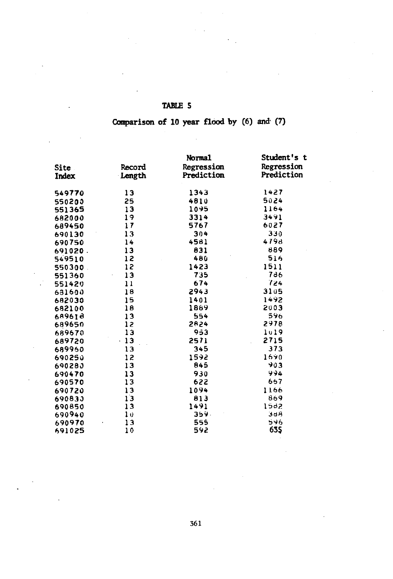## TABLE S

## Comparison of 10 year flood by (6) and (7)

|             |        | Normal     | Student's t |
|-------------|--------|------------|-------------|
| <b>Site</b> | Record | Regression | Regression  |
| Index       | Length | Prediction | Prediction  |
|             |        |            |             |
| 549770      | $13 -$ | 1343       | 1427        |
| 550200      | 25     | 4810       | 5024        |
| 551365      | 13     | 1095       | 1164        |
| 682000      | 19     | 3314       | 3491        |
| 689450      | 17     | 5767       | 6027        |
| 690130      | 13     | 304        | 330         |
| 690750      | 14     | 4581       | 4798        |
| 691020.     | 13     | 831        | 889         |
| 549510      | 12     | 480        | 516         |
| 550300      | 12     | 1423       | 1511        |
| 551360      | 13     | 735        | 786         |
| 551420      | 11     | 674        | 724         |
| 631600      | 18     | 2943       | 3105        |
| 682030      | 15     | 1401       | 1492        |
| 682100      | 18     | 1889       | 2003        |
| 689618      | 13     | 554        | 596         |
| 689650      | 12     | 2824       | 2978        |
| 689670      | 13     | 953        | 1019        |
| 689720      | $-13$  | 2571       | 2715        |
| 689960      | 13     | 345        | 373         |
| 690250      | 12     | 1592       | 1690        |
| 690280      | 13     | 845        | 903         |
| 690470      | 13     | 930        | 994         |
| 690570      | 13     | 622        | 667         |
| 690720      | 13     | 1094       | 1166        |
| 690833      | 13     | 813        | 869         |
| 690850      | 13     | 1491       | 1582        |
| 690940      | 10     | 359.       | 388         |
| 690970      | 13     | 555        | 596         |
| 691025      | 10     | 592        | 635         |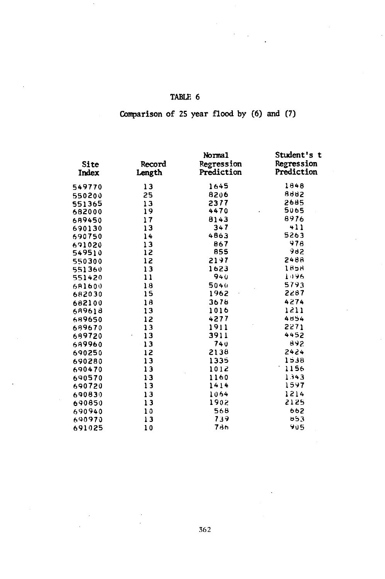## Comparison of 25 year flood by (6) and (7)

| Site   | Record | Normal<br>Regression | Student's t<br>Regression |  |
|--------|--------|----------------------|---------------------------|--|
| Index  | Length | Prediction           | Prediction                |  |
| 549770 | 13     | 1645                 | 1848                      |  |
| 550200 | 25     | 8206                 | 8882                      |  |
| 551365 | 13     | 2377                 | 2685                      |  |
| 682000 | 19     | 4470                 | 5065                      |  |
| 689450 | 17     | 8143                 | 8976                      |  |
| 690130 | 13     | 347                  | 411                       |  |
| 690750 | 14     | 4863                 | 5263                      |  |
| 691020 | 13     | 867                  | 978                       |  |
| 549510 | 12     | 855                  | 982                       |  |
| 550300 | 12     | 2197                 | 8488                      |  |
| 551360 | 13     | 1623                 | 1858                      |  |
| 551420 | 11     | 940                  | 1096                      |  |
| 681600 | 18     | 5040                 | 5793                      |  |
| 682030 | 15     | 1962                 | 2287                      |  |
| 682100 | 18     | 3678                 | 4274                      |  |
| 689618 | 13     | 1016                 | 1511                      |  |
| 689650 | 12     | 4277                 | 4854                      |  |
| 689670 | 13     | 1911                 | 2271                      |  |
| 689720 | 13     | 3911                 | 4452                      |  |
| 689960 | $-13$  | 740                  | 892                       |  |
| 690250 | 12     | 2138                 | 2424                      |  |
| 690280 | 13     | 1335                 | 1538                      |  |
| 690470 | 13     | 1012                 | 1156                      |  |
| 690570 | 13     | 1160                 | 1343                      |  |
| 690720 | 13     | 1414                 | 1597                      |  |
| 690830 | 13     | 1064                 | 1214                      |  |
| 690850 | 13     | 1902                 | 2125                      |  |
| 690940 | 10     | 568                  | 662                       |  |
| 690970 | 13     | 739                  | 653                       |  |
| 691025 | 10     | 786                  | 905                       |  |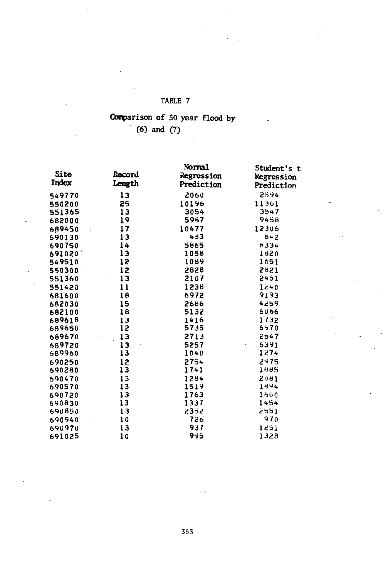## Comparison of 50 year flood by (6) and (7)

| <b>Site</b><br>Index | <b>Record</b><br>Length | Norma1<br>Regression | Student's t<br>Regression |  |
|----------------------|-------------------------|----------------------|---------------------------|--|
|                      |                         | Prediction           | Prediction                |  |
| 549770               | 13                      | 2060                 | 2894                      |  |
| 550200               | 25                      | 10196                | 11361                     |  |
| 551365               | 13                      | 3054                 | 3547                      |  |
| 682000               | 19                      | 5987                 | 9458                      |  |
| 689450               | 17                      | 10477                | 12306                     |  |
| 690130               | 13                      | 453                  | 642                       |  |
| 690750               | 14                      | 5865                 | 6334                      |  |
| 691020               | 13                      | 1058                 | 1820                      |  |
| 549510               | 12                      | 1089                 | 1651                      |  |
| 550300               | 12                      | 2828                 | 2821                      |  |
| 551360               | 13                      | 2107                 | 2451                      |  |
| 551420               | 11                      | 1238                 | 1240                      |  |
| 681600               | 18                      | 6972                 | 9193                      |  |
| 682030               | 15                      | 2686                 | 4259                      |  |
| 682100               | 18                      | 5132                 | 6066                      |  |
| 689618               | 13                      | 1416                 | 1/32                      |  |
| 689650               | 12                      | 5735                 | 6470                      |  |
| 689670               | 13                      | 2713                 | 2547                      |  |
| 689720               | $13 -$                  | 5257                 | 6391                      |  |
| 689960               | 13                      | 1040                 | 1274                      |  |
| 690250               | 12                      | 2754                 | 2975                      |  |
| 690280               | 13                      | 1741                 | 1885                      |  |
| 690470               | 13                      | 1284                 | 2081                      |  |
| 690570               | 13                      | 1519                 | 1594                      |  |
| 690720               | 13                      | 1763                 | 1600                      |  |
| 690830               | 13                      | 1337                 | 1454                      |  |
| 690850               | 13                      | 2352                 | 2551                      |  |
| 690940               | 10                      | 726                  | 970                       |  |
| 690970               | 13                      | 937                  | 1251                      |  |
| 691025               | 10                      | 995                  | 1328                      |  |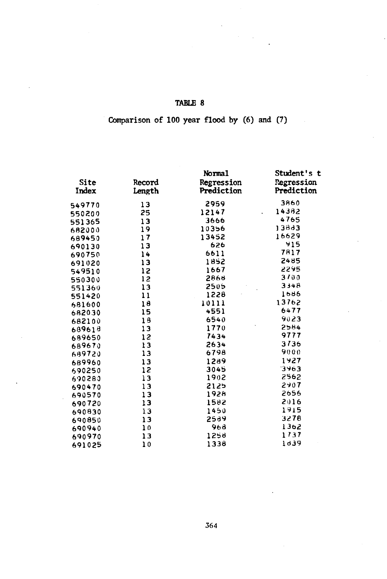## Comparison of 100 year flood by (6) and (7)

|        |        | Normal     | Student's t |  |
|--------|--------|------------|-------------|--|
| Site   | Record | Regression | Regression  |  |
| Index  | Length | Prediction | Prediction  |  |
| 549770 | 13     | 2959       | 3860        |  |
| 550200 | 25     | 12147      | 14382       |  |
| 551365 | 13     | 3666       | 4765        |  |
| 682000 | 19     | 10356      | 13883       |  |
| 689450 | 17     | 13452      | 16629       |  |
| 690130 | 13     | 626        | 915         |  |
| 690750 | 14     | 6611       | 7817        |  |
| 691020 | 13     | 1852       | 2485        |  |
| 549510 | 12     | 1667       | 2295        |  |
| 550300 | 12     | 2868       | 3100        |  |
| 551360 | 13     | 2505       | 3348        |  |
| 551420 | 11     | 1228       | 1686        |  |
| 681600 | 18     | 10111      | 13762       |  |
| 682030 | 15     | 4551       | 6477        |  |
| 682100 | 18     | 6540       | 9023        |  |
| 689618 | 13     | 1770       | 2584        |  |
| 689650 | 12     | 7434       | 9777        |  |
| 689670 | 13     | 2634       | 3736        |  |
| 689720 | 13     | 6798       | 9000        |  |
| 689960 | 13     | 1289       | 1927        |  |
| 690250 | 15     | 3045       | 3463        |  |
| 690280 | 13     | 1902       | 2562        |  |
| 690470 | 13     | 2125       | 2907        |  |
| 690570 | 13     | 1928       | 2656        |  |
| 690720 | 13     | 1582       | 2016        |  |
| 690830 | 13     | 1450       | 1915        |  |
| 690850 | 13     | 2589       | 3278        |  |
| 690940 | 10     | 968        | 1362        |  |
| 690970 | 13     | 1258       | 1737        |  |
| 691025 | 10     | 1338       | 1639        |  |
|        |        |            |             |  |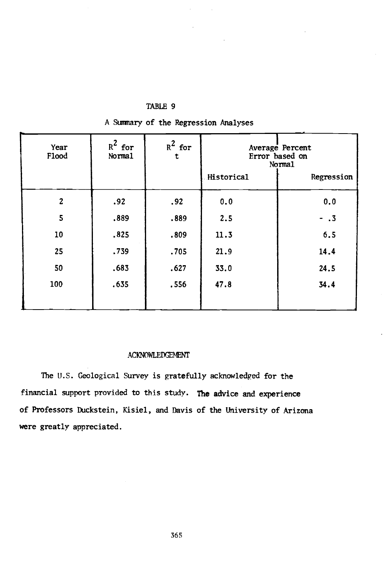| Year<br>Flood  | $R^2$ for<br>Norma1 | $R^2$ for<br>t | Average Percent<br>Error based on<br>Normal |            |
|----------------|---------------------|----------------|---------------------------------------------|------------|
|                |                     |                | Historical                                  | Regression |
| $\overline{c}$ | .92                 | .92            | 0.0                                         | 0.0        |
| 5              | .889                | .889           | 2.5                                         | $- .3$     |
| 10             | .825                | .809           | 11.3                                        | 6.5        |
| 25             | .739                | .705           | 21.9                                        | 14.4       |
| 50             | .683                | .627           | 33.0                                        | 24.5       |
| 100            | .635                | .556           | 47.8                                        | 34.4       |

A Summary of the Regression Analyses

### ACKNOWLEDGEMENT

The U.S. Geological Survey is gratefully acknowledged for the financial support provided to this study. The advice and experience of Professors Duckstein, Kisiel, and Davis of the University of Arizona were greatly appreciated.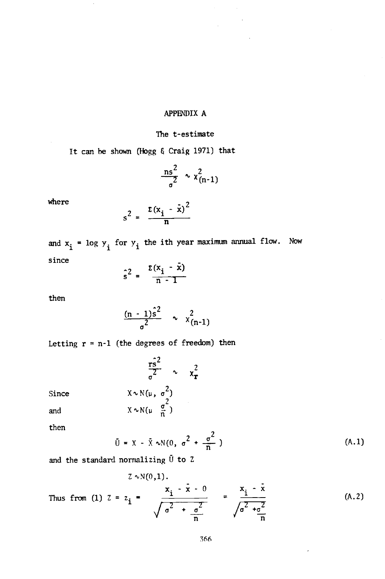### APPENDIX A

#### The t-estimate

It can be shown (Hogg & Craig 1971) that

$$
\frac{\text{ns}^2}{\text{0}^2} \sim \chi^2_{(n-1)}
$$

where

$$
s^2 = \frac{\Sigma (x_i - \bar{x})^2}{n}
$$

and  $x_i$  = log  $y_i$  for  $y_i$  the ith year maximum annual flow. Now since

$$
\hat{s}^2 = \frac{z(x_i - \bar{x})}{n-1}
$$

then

$$
\frac{(n-1)\hat{s}^2}{\sigma^2} \sim \chi^2_{(n-1)}
$$

Letting  $r = n-1$  (the degrees of freedom) then

 $\sin^2$  $\sigma^2$   $\sim$   $x_{\rm r}^2$ 

Since  $X \sim N(\mu, \sigma^2)$ <br>
and  $X \sim N(\mu, \frac{\sigma^2}{n})$ 

then

$$
\bar{U} = X - \bar{X} \sim N(0, \sigma^2 + \frac{\sigma^2}{n})
$$
 (A.1)

and the standard normalizing  $\bar{U}$  to Z

Thus from (1) 
$$
Z = z_i = \frac{x_i - \bar{x} - 0}{\sqrt{\sigma^2 + \frac{\sigma^2}{n}}} = \frac{x_i - \bar{x}}{\sqrt{\sigma^2 + \frac{\sigma^2}{n}}}
$$
 (A.2)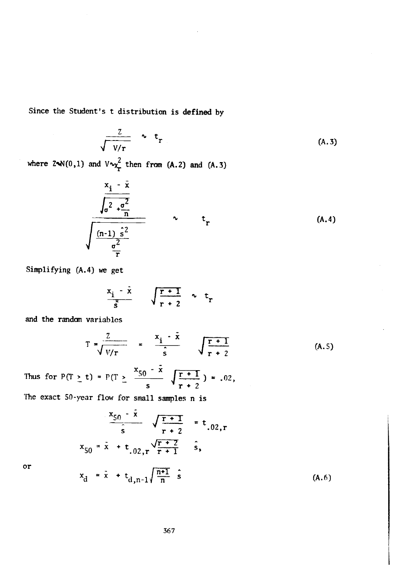Since the Student's t distribution is defined by

$$
\frac{Z}{\sqrt{V/r}} \sim t_r \tag{A.3}
$$

where  $2\cdot N(0,1)$  and  $V\sim_{\mathcal{X}}^2$  then from (A.2) and (A.3)

$$
\frac{x_{i} - \bar{x}}{\sqrt{\frac{\sigma^{2} + \frac{\sigma^{2}}{n}}{\sigma^{2}}}}
$$
\n
$$
\sqrt{\frac{(n-1)\hat{s}^{2}}{\frac{\sigma^{2}}{n}}}
$$
\n
$$
(A.4)
$$

Simplifying (A.4) we get

$$
\frac{x_i - \tilde{x}}{\tilde{s}} \qquad \sqrt{\frac{r+1}{r+2}} \sim t_r
$$

and the random variables

 $x_d$ 

$$
T = \frac{Z}{\sqrt{V/r}} = \frac{x_i - \bar{x}}{\hat{s}} \sqrt{\frac{r+1}{r+2}}
$$
 (A.5)

Thus for  $P(T > t) = P(T > \frac{x_{50} - x}{T + 1})$  $\sqrt{\frac{1}{r+2}}$   $\sqrt{r+2}$ . 02,  $= .02,$ 

The exact 50 -year flow for small samples n is

$$
\frac{x_{50} - x}{s} \sqrt{\frac{r+1}{r+2}} = t_{.02, r}
$$
  

$$
x_{50} = \bar{x} + t_{.02, r} \sqrt{\frac{r+2}{r+1}} \hat{s},
$$
  

$$
x_{d} = \bar{x} + t_{d, n-1} \sqrt{\frac{n+1}{n}} \hat{s}
$$
 (A.6)

or